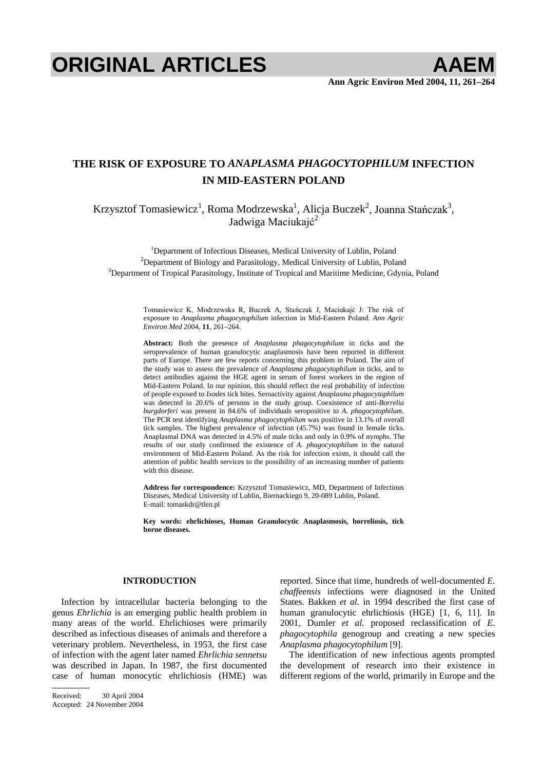# **ORIGINAL ARTICLES AAEM**

# **THE RISK OF EXPOSURE TO** *ANAPLASMA PHAGOCYTOPHILUM* **INFECTION IN MID-EASTERN POLAND**

Krzysztof Tomasiewicz<sup>1</sup>, Roma Modrzewska<sup>1</sup>, Alicja Buczek<sup>2</sup>, Joanna Stańczak<sup>3</sup>, Jadwiga Maciukajć<sup>2</sup>

<sup>1</sup>Department of Infectious Diseases, Medical University of Lublin, Poland <sup>2</sup>Department of Biology and Persejtelogy, Medical University of Lublin, Pola <sup>2</sup>Department of Biology and Parasitology, Medical University of Lublin, Poland  $\rm^3$ Department of Tropical Parasitology, Institute of Tropical and Maritime Medicine, Gdynia, Poland

> Tomasiewicz K, Modrzewska R, Buczek A, Stańczak J, Maciukajć J: The risk of exposure to *Anaplasma phagocytophilum* infection in Mid-Eastern Poland. *Ann Agric Environ Med* 2004, **11**, 261–264.

> **Abstract:** Both the presence of *Anaplasma phagocytophilum* in ticks and the seroprevalence of human granulocytic anaplasmosis have been reported in different parts of Europe. There are few reports concerning this problem in Poland. The aim of the study was to assess the prevalence of *Anaplasma phagocytophilum* in ticks, and to detect antibodies against the HGE agent in serum of forest workers in the region of Mid-Eastern Poland. In our opinion, this should reflect the real probability of infection of people exposed to *Ixodes* tick bites. Seroactivity against *Anaplasma phagocytophilum* was detected in 20.6% of persons in the study group. Coexistence of anti-*Borrelia burgdorferi* was present in 84.6% of individuals seropositive to *A. phagocytophilum*. The PCR test identifying *Anaplasma phagocytophilum* was positive in 13.1% of overall tick samples. The highest prevalence of infection (45.7%) was found in female ticks. Anaplasmal DNA was detected in 4.5% of male ticks and only in 0.9% of nymphs. The results of our study confirmed the existence of *A. phagocytophilum* in the natural environment of Mid-Eastern Poland. As the risk for infection exists, it should call the attention of public health services to the possibility of an increasing number of patients with this disease.

> **Address for correspondence:** Krzysztof Tomasiewicz, MD, Department of Infectious Diseases, Medical University of Lublin, Biernackiego 9, 20-089 Lublin, Poland. E-mail: tomaskdr@tlen.pl

> **Key words: ehrlichioses, Human Granulocytic Anaplasmosis, borreliosis, tick borne diseases.**

### **INTRODUCTION**

Infection by intracellular bacteria belonging to the genus *Ehrlichia* is an emerging public health problem in many areas of the world. Ehrlichioses were primarily described as infectious diseases of animals and therefore a veterinary problem. Nevertheless, in 1953, the first case of infection with the agent later named *Ehrlichia sennetsu*  was described in Japan. In 1987, the first documented case of human monocytic ehrlichiosis (HME) was

Received: 30 April 2004 Accepted: 24 November 2004 reported. Since that time, hundreds of well-documented *E. chaffeensis* infections were diagnosed in the United States. Bakken *et al.* in 1994 described the first case of human granulocytic ehrlichiosis (HGE) [1, 6, 11]. In 2001, Dumler *et al.* proposed reclassification of *E. phagocytophila* genogroup and creating a new species *Anaplasma phagocytophilum* [9].

The identification of new infectious agents prompted the development of research into their existence in different regions of the world, primarily in Europe and the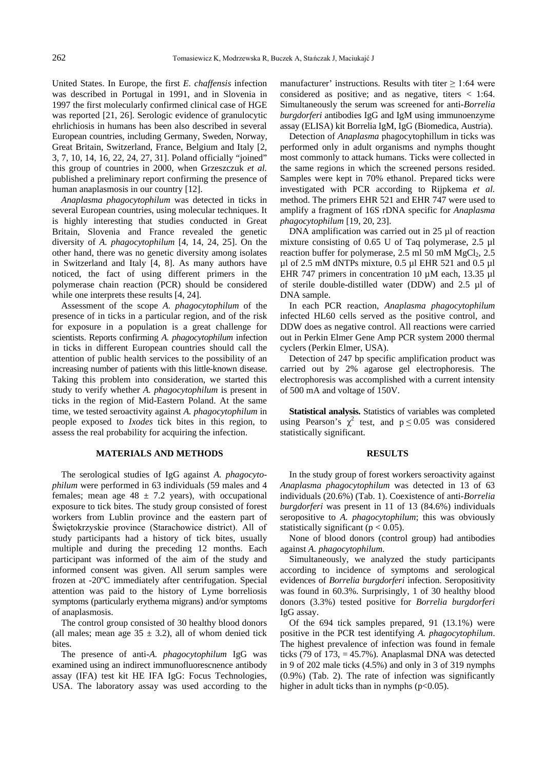United States. In Europe, the first *E. chaffensis* infection was described in Portugal in 1991, and in Slovenia in 1997 the first molecularly confirmed clinical case of HGE was reported [21, 26]. Serologic evidence of granulocytic ehrlichiosis in humans has been also described in several European countries, including Germany, Sweden, Norway, Great Britain, Switzerland, France, Belgium and Italy [2, 3, 7, 10, 14, 16, 22, 24, 27, 31]. Poland officially "joined" this group of countries in 2000, when Grzeszczuk *et al.* published a preliminary report confirming the presence of human anaplasmosis in our country [12].

*Anaplasma phagocytophilum* was detected in ticks in several European countries, using molecular techniques. It is highly interesting that studies conducted in Great Britain, Slovenia and France revealed the genetic diversity of *A. phagocytophilum* [4, 14, 24, 25]. On the other hand, there was no genetic diversity among isolates in Switzerland and Italy [4, 8]. As many authors have noticed, the fact of using different primers in the polymerase chain reaction (PCR) should be considered while one interprets these results [4, 24].

Assessment of the scope *A. phagocytophilum* of the presence of in ticks in a particular region, and of the risk for exposure in a population is a great challenge for scientists. Reports confirming *A. phagocytophilum* infection in ticks in different European countries should call the attention of public health services to the possibility of an increasing number of patients with this little-known disease. Taking this problem into consideration, we started this study to verify whether *A. phagocytophilum* is present in ticks in the region of Mid-Eastern Poland. At the same time, we tested seroactivity against *A. phagocytophilum* in people exposed to *Ixodes* tick bites in this region, to assess the real probability for acquiring the infection.

#### **MATERIALS AND METHODS**

The serological studies of IgG against *A. phagocytophilum* were performed in 63 individuals (59 males and 4 females; mean age  $48 \pm 7.2$  years), with occupational exposure to tick bites. The study group consisted of forest workers from Lublin province and the eastern part of Świętokrzyskie province (Starachowice district). All of study participants had a history of tick bites, usually multiple and during the preceding 12 months. Each participant was informed of the aim of the study and informed consent was given. All serum samples were frozen at -20ºC immediately after centrifugation. Special attention was paid to the history of Lyme borreliosis symptoms (particularly erythema migrans) and/or symptoms of anaplasmosis.

The control group consisted of 30 healthy blood donors (all males; mean age  $35 \pm 3.2$ ), all of whom denied tick bites.

The presence of anti-*A. phagocytophilum* IgG was examined using an indirect immunofluorescnence antibody assay (IFA) test kit HE IFA IgG: Focus Technologies, USA. The laboratory assay was used according to the manufacturer' instructions. Results with titer  $\geq$  1:64 were considered as positive; and as negative, titers < 1:64. Simultaneously the serum was screened for anti-*Borrelia burgdorferi* antibodies IgG and IgM using immunoenzyme assay (ELISA) kit Borrelia IgM, IgG (Biomedica, Austria).

Detection of *Anaplasma* phagocytophillum in ticks was performed only in adult organisms and nymphs thought most commonly to attack humans. Ticks were collected in the same regions in which the screened persons resided. Samples were kept in 70% ethanol. Prepared ticks were investigated with PCR according to Rijpkema *et al.* method. The primers EHR 521 and EHR 747 were used to amplify a fragment of 16S rDNA specific for *Anaplasma phagocytophilum* [19, 20, 23].

DNA amplification was carried out in 25 µl of reaction mixture consisting of 0.65 U of Taq polymerase, 2.5 µl reaction buffer for polymerase, 2.5 ml 50 mM  $MgCl<sub>2</sub>$ , 2.5 µl of 2.5 mM dNTPs mixture, 0.5 µl EHR 521 and 0.5 µl EHR 747 primers in concentration 10  $\mu$ M each, 13.35  $\mu$ l of sterile double-distilled water (DDW) and 2.5 µl of DNA sample.

In each PCR reaction, *Anaplasma phagocytophilum* infected HL60 cells served as the positive control, and DDW does as negative control. All reactions were carried out in Perkin Elmer Gene Amp PCR system 2000 thermal cyclers (Perkin Elmer, USA).

Detection of 247 bp specific amplification product was carried out by 2% agarose gel electrophoresis. The electrophoresis was accomplished with a current intensity of 500 mA and voltage of 150V.

**Statistical analysis.** Statistics of variables was completed using Pearson's  $\chi^2$  test, and  $p \le 0.05$  was considered statistically significant.

#### **RESULTS**

In the study group of forest workers seroactivity against *Anaplasma phagocytophilum* was detected in 13 of 63 individuals (20.6%) (Tab. 1). Coexistence of anti-*Borrelia burgdorferi* was present in 11 of 13 (84.6%) individuals seropositive to *A. phagocytophilum*; this was obviously statistically significant ( $p < 0.05$ ).

None of blood donors (control group) had antibodies against *A. phagocytophilum*.

Simultaneously, we analyzed the study participants according to incidence of symptoms and serological evidences of *Borrelia burgdorferi* infection. Seropositivity was found in 60.3%. Surprisingly, 1 of 30 healthy blood donors (3.3%) tested positive for *Borrelia burgdorferi*  IgG assay.

Of the 694 tick samples prepared, 91 (13.1%) were positive in the PCR test identifying *A. phagocytophilum*. The highest prevalence of infection was found in female ticks (79 of 173,  $= 45.7\%$ ). Anaplasmal DNA was detected in 9 of 202 male ticks (4.5%) and only in 3 of 319 nymphs (0.9%) (Tab. 2). The rate of infection was significantly higher in adult ticks than in nymphs  $(p<0.05)$ .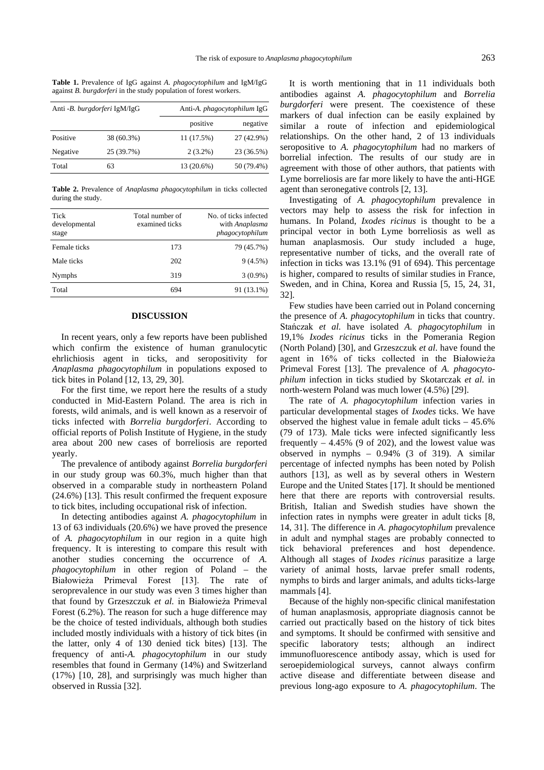| Anti - B. burgdorferi IgM/IgG |            | Anti-A. <i>phagocytophilum</i> IgG |            |
|-------------------------------|------------|------------------------------------|------------|
|                               |            | positive                           | negative   |
| Positive                      | 38 (60.3%) | 11 (17.5%)                         | 27 (42.9%) |
| Negative                      | 25 (39.7%) | $2(3.2\%)$                         | 23 (36.5%) |
| Total                         | 63         | 13 (20.6%)                         | 50 (79.4%) |

**Table 1.** Prevalence of IgG against *A. phagocytophilum* and IgM/IgG against *B. burgdorferi* in the study population of forest workers.

**Table 2.** Prevalence of *Anaplasma phagocytophilum* in ticks collected during the study.

| Tick<br>developmental<br>stage | Total number of<br>examined ticks | No. of ticks infected<br>with Anaplasma<br>phagocytophilum |
|--------------------------------|-----------------------------------|------------------------------------------------------------|
| Female ticks                   | 173                               | 79 (45.7%)                                                 |
| Male ticks                     | 202                               | $9(4.5\%)$                                                 |
| <b>Nymphs</b>                  | 319                               | $3(0.9\%)$                                                 |
| Total                          | 694                               | 91 (13.1%)                                                 |
|                                |                                   |                                                            |

## **DISCUSSION**

In recent years, only a few reports have been published which confirm the existence of human granulocytic ehrlichiosis agent in ticks, and seropositivity for *Anaplasma phagocytophilum* in populations exposed to tick bites in Poland [12, 13, 29, 30].

For the first time, we report here the results of a study conducted in Mid-Eastern Poland. The area is rich in forests, wild animals, and is well known as a reservoir of ticks infected with *Borrelia burgdorferi*. According to official reports of Polish Institute of Hygiene, in the study area about 200 new cases of borreliosis are reported yearly.

The prevalence of antibody against *Borrelia burgdorferi* in our study group was 60.3%, much higher than that observed in a comparable study in northeastern Poland (24.6%) [13]. This result confirmed the frequent exposure to tick bites, including occupational risk of infection.

In detecting antibodies against *A. phagocytophilum* in 13 of 63 individuals (20.6%) we have proved the presence of *A. phagocytophilum* in our region in a quite high frequency. It is interesting to compare this result with another studies concerning the occurrence of *A. phagocytophilum* in other region of Poland – the Białowieża Primeval Forest [13]. The rate of seroprevalence in our study was even 3 times higher than that found by Grzeszczuk et al. in Białowieża Primeval Forest (6.2%). The reason for such a huge difference may be the choice of tested individuals, although both studies included mostly individuals with a history of tick bites (in the latter, only 4 of 130 denied tick bites) [13]. The frequency of anti-*A. phagocytophilum* in our study resembles that found in Germany (14%) and Switzerland (17%) [10, 28], and surprisingly was much higher than observed in Russia [32].

It is worth mentioning that in 11 individuals both antibodies against *A. phagocytophilum* and *Borrelia burgdorferi* were present. The coexistence of these markers of dual infection can be easily explained by similar a route of infection and epidemiological relationships. On the other hand, 2 of 13 individuals seropositive to *A. phagocytophilum* had no markers of borrelial infection. The results of our study are in agreement with those of other authors, that patients with Lyme borreliosis are far more likely to have the anti-HGE agent than seronegative controls [2, 13].

Investigating of *A. phagocytophilum* prevalence in vectors may help to assess the risk for infection in humans. In Poland, *Ixodes ricinus* is thought to be a principal vector in both Lyme borreliosis as well as human anaplasmosis. Our study included a huge, representative number of ticks, and the overall rate of infection in ticks was 13.1% (91 of 694). This percentage is higher, compared to results of similar studies in France, Sweden, and in China, Korea and Russia [5, 15, 24, 31, 32].

Few studies have been carried out in Poland concerning the presence of *A. phagocytophilum* in ticks that country. Stańczak et al. have isolated *A. phagocytophilum* in 19,1% *Ixodes ricinus* ticks in the Pomerania Region (North Poland) [30], and Grzeszczuk *et al.* have found the agent in 16% of ticks collected in the Białowieża Primeval Forest [13]. The prevalence of *A. phagocytophilum* infection in ticks studied by Skotarczak *et al.* in north-western Poland was much lower (4.5%) [29].

The rate of *A. phagocytophilum* infection varies in particular developmental stages of *Ixodes* ticks. We have observed the highest value in female adult ticks – 45.6% (79 of 173). Male ticks were infected significantly less frequently  $-4.45\%$  (9 of 202), and the lowest value was observed in nymphs – 0.94% (3 of 319). A similar percentage of infected nymphs has been noted by Polish authors [13], as well as by several others in Western Europe and the United States [17]. It should be mentioned here that there are reports with controversial results. British, Italian and Swedish studies have shown the infection rates in nymphs were greater in adult ticks [8, 14, 31]. The difference in *A. phagocytophilum* prevalence in adult and nymphal stages are probably connected to tick behavioral preferences and host dependence. Although all stages of *Ixodes ricinus* parasitize a large variety of animal hosts, larvae prefer small rodents, nymphs to birds and larger animals, and adults ticks-large mammals [4].

Because of the highly non-specific clinical manifestation of human anaplasmosis, appropriate diagnosis cannot be carried out practically based on the history of tick bites and symptoms. It should be confirmed with sensitive and specific laboratory tests; although an indirect immunofluorescence antibody assay, which is used for seroepidemiological surveys, cannot always confirm active disease and differentiate between disease and previous long-ago exposure to *A. phagocytophilum*. The